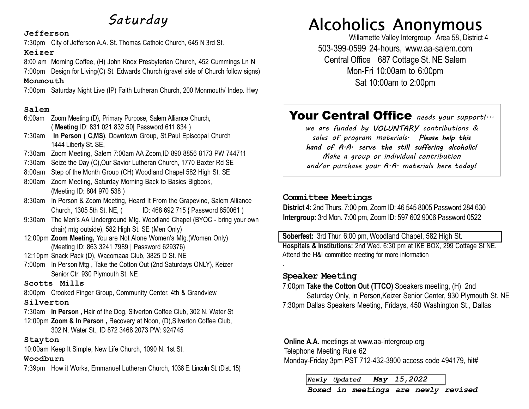# Saturday

#### Jefferson

7:30pm City of Jefferson A.A. St. Thomas Cathoic Church, 645 N 3rd St.

#### Keizer

8:00 am Morning Coffee, (H) John Knox Presbyterian Church, 452 Cummings Ln N 7:00pm Design for Living(C) St. Edwards Church (gravel side of Church follow signs) Monmouth

7:00pm Saturday Night Live (IP) Faith Lutheran Church, 200 Monmouth/ Indep. Hwy

### Salem

- 6:00am Zoom Meeting (D), Primary Purpose, Salem Alliance Church, ( Meeting ID: 831 021 832 50| Password 611 834 )
- 7:30am In Person ( C,MS), Downtown Group, St.Paul Episcopal Church 1444 Liberty St. SE,
- 7:30am Zoom Meeting, Salem 7:00am AA Zoom,ID 890 8856 8173 PW 744711
- 7:30am Seize the Day (C),Our Savior Lutheran Church, 1770 Baxter Rd SE
- 8:00am Step of the Month Group (CH) Woodland Chapel 582 High St. SE
- 8:00am Zoom Meeting, Saturday Morning Back to Basics Bigbook, (Meeting ID: 804 970 538 )
- 8:30am In Person & Zoom Meeting, Heard It From the Grapevine, Salem Alliance Church, 1305 5th St, NE, ( ID: 468 692 715 { Password 850061 )
- 9:30am The Men's AA Underground Mtg. Woodland Chapel (BYOC bring your own chair( mtg outside), 582 High St. SE (Men Only)
- 12:00pm Zoom Meeting, You are Not Alone Women's Mtg.(Women Only) (Meeting ID: 863 3241 7989 | Password 629376)
- 12:10pm Snack Pack (D), Wacomaaa Club, 3825 D St. NE
- 7:00pm In Person Mtg , Take the Cotton Out (2nd Saturdays ONLY), Keizer Senior Ctr. 930 Plymouth St. NE

### Scotts Mills

8:00pm Crooked Finger Group, Community Center, 4th & Grandview

#### Silverton

7:30am In Person , Hair of the Dog, Silverton Coffee Club, 302 N. Water St 12:00pm Zoom & In Person , Recovery at Noon, (D),Silverton Coffee Club, 302 N. Water St., ID 872 3468 2073 PW: 924745

#### Stayton

10:00am Keep It Simple, New Life Church, 1090 N. 1st St.

#### Woodburn

7:39pm How it Works, Emmanuel Lutheran Church, 1036 E. Lincoln St. (Dist. 15)

# Alcoholics Anonymous

503-399-0599 24-hours, www.aa-salem.com Central Office 687 Cottage St. NE Salem Mon-Fri 10:00am to 6:00pm Sat 10:00am to 2:00pm Willamette Valley Intergroup Area 58, District 4

# Your Central Office needs your support!...

we are funded by VOLUNTARY contributions & sales of program materials. Please help this hand of A.A. serve the still suffering alcoholic!

Make a group or individual contribution and/or purchase your  $A \cdot A \cdot$  materials here today!

### Committee Meetings

District 4: 2nd Thurs. 7:00 pm, Zoom ID: 46 545 8005 Password 284 630 Intergroup: 3rd Mon. 7:00 pm, Zoom ID: 597 602 9006 Password 0522

Soberfest: 3rd Thur. 6:00 pm, Woodland Chapel, 582 High St. Hospitals & Institutions: 2nd Wed. 6:30 pm at IKE BOX, 299 Cottage St NE. Attend the H&I committee meeting for more information

### Speaker Meeting

.

7:00pm Take the Cotton Out (TTCO) Speakers meeting, (H) 2nd

Saturday Only, In Person,Keizer Senior Center, 930 Plymouth St. NE 7:30pm Dallas Speakers Meeting, Fridays, 450 Washington St., Dallas

Online A.A. meetings at www.aa-intergroup.org Telephone Meeting Rule 62 Monday-Friday 3pm PST 712-432-3900 access code 494179, hit#

Newly Updated May 15,2022

Boxed in meetings are newly revised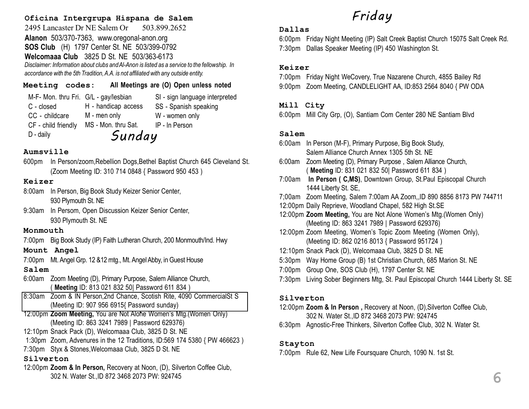### Oficina Intergrupa Hispana de Salem

2495 Lancaster Dr NE Salem Or 503.899.2652 Alanon 503/370-7363, www.oregonal-anon.org SOS Club (H) 1797 Center St. NE 503/399-0792 Welcomaaa Club 3825 D St. NE 503/363-6173 Disclaimer: Information about clubs and Al-Anon is listed as a service to the fellowship. In accordance with the 5th Tradition, A.A. is not affiliated with any outside entity.

| Meeting codes: |                                       | All Meetings are (O) Open unless noted |
|----------------|---------------------------------------|----------------------------------------|
|                | M-F- Mon. thru Fri. G/L - gay/lesbian | SI - sign language interpreted         |

H - handicap access

C - closed CC - childcare CF - child friendly D - daily

M - men only MS - Mon. thru Sat. W - women only IP - In Person Sunday

SS - Spanish speaking

#### Aumsville

600pm In Person/zoom,Rebellion Dogs,Bethel Baptist Church 645 Cleveland St. (Zoom Meeting ID: 310 714 0848 { Password 950 453 )

#### Keizer

- 8:00am In Person, Big Book Study Keizer Senior Center, 930 Plymouth St. NE
- 9:30am In Persom, Open Discussion Keizer Senior Center, 930 Plymouth St. NE

#### Monmouth

7:00pm Big Book Study (IP) Faith Lutheran Church, 200 Monmouth/Ind. Hwy

### Mount Angel

7:00pm Mt. Angel Grp. 12 &12 mtg., Mt. Angel Abby, in Guest House

#### Salem

- 6:00am Zoom Meeting (D), Primary Purpose, Salem Alliance Church, ( Meeting ID: 813 021 832 50| Password 611 834 )
- 8:30am Zoom & IN Person,2nd Chance, Scotish Rite, 4090 CommercialSt S (Meeting ID: 907 956 6915{ Password sunday)
- 12:00pm Zoom Meeting, You are Not Alone Women's Mtg.(Women Only) (Meeting ID: 863 3241 7989 | Password 629376)
- 12:10pm Snack Pack (D), Welcomaaa Club, 3825 D St. NE
- 1:30pm Zoom, Advenures in the 12 Traditions, ID:569 174 5380 { PW 466623 )
- 7:30pm Styx & Stones,Welcomaaa Club, 3825 D St. NE

# Silverton

12:00pm Zoom & In Person, Recovery at Noon, (D), Silverton Coffee Club, 302 N. Water St.,ID 872 3468 2073 PW: 924745

# Friday

### Dallas

6:00pm Friday Night Meeting (IP) Salt Creek Baptist Church 15075 Salt Creek Rd. 7:30pm Dallas Speaker Meeting (IP) 450 Washington St.

### Keizer

7:00pm Friday Night WeCovery, True Nazarene Church, 4855 Bailey Rd 9:00pm Zoom Meeting, CANDLELIGHT AA, ID:853 2564 8040 { PW ODA

#### Mill City

6:00pm Mill City Grp, (O), Santiam Com Center 280 NE Santiam Blvd

### Salem

- 6:00am In Person (M-F), Primary Purpose, Big Book Study, Salem Alliance Church Annex 1305 5th St. NE
- 6:00am Zoom Meeting (D), Primary Purpose , Salem Alliance Church, ( Meeting ID: 831 021 832 50| Password 611 834 )
- 7:00am In Person ( C,MS), Downtown Group, St.Paul Episcopal Church 1444 Liberty St. SE,
- 7;00am Zoom Meeting, Salem 7:00am AA Zoom,,ID 890 8856 8173 PW 744711
- 12:00pm Daily Reprieve, Woodland Chapel, 582 High St.SE
- 12:00pm Zoom Meeting, You are Not Alone Women's Mtg.(Women Only) (Meeting ID: 863 3241 7989 | Password 629376)
- 12:00pm Zoom Meeting, Women's Topic Zoom Meeting (Women Only), (Meeting ID: 862 0216 8013 { Password 951724 )
- 12:10pm Snack Pack (D), Welcomaaa Club, 3825 D St. NE
- 5:30pm Way Home Group (B) 1st Christian Church, 685 Marion St. NE
- 7:00pm Group One, SOS Club (H), 1797 Center St. NE
- 7:30pm Living Sober Beginners Mtg, St. Paul Episcopal Church 1444 Liberty St. SE

#### Silverton

12:00pm Zoom & In Person , Recovery at Noon, (D),Silverton Coffee Club, 302 N. Water St.,ID 872 3468 2073 PW: 924745

6:30pm Agnostic-Free Thinkers, Silverton Coffee Club, 302 N. Water St.

#### Stayton

7:00pm Rule 62, New Life Foursquare Church, 1090 N. 1st St.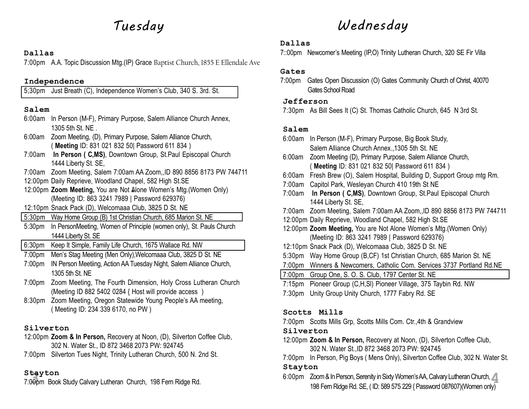#### Dallas

7:00pm A.A. Topic Discussion Mtg.(IP) Grace Baptist Church, 1855 E Ellendale Ave

### Independence

5;30pm Just Breath (C), Independence Women's Club, 340 S. 3rd. St.

# Salem

- 6:00am In Person (M-F), Primary Purpose, Salem Alliance Church Annex, 1305 5th St. NE .
- 6:00am Zoom Meeting, (D), Primary Purpose, Salem Alliance Church, ( Meeting ID: 831 021 832 50| Password 611 834 )
- 7:00am In Person ( C,MS), Downtown Group, St.Paul Episcopal Church 1444 Liberty St. SE,
- 7:00am Zoom Meeting, Salem 7:00am AA Zoom,,ID 890 8856 8173 PW 744711
- 12:00pm Daily Reprieve, Woodland Chapel, 582 High St.SE
- 12:00pm Zoom Meeting, You are Not Alone Women's Mtg.(Women Only) (Meeting ID: 863 3241 7989 | Password 629376)
- 12:10pm Snack Pack (D), Welcomaaa Club, 3825 D St. NE
- 5:30pm Way Home Group (B) 1st Christian Church, 685 Marion St. NE
- 5:30pm In PersonMeeting, Women of Principle (women only), St. Pauls Church 1444 Liberty St. SE
- 6:30pm Keep It Simple, Family Life Church, 1675 Wallace Rd. NW
- 7:00pm Men's Stag Meeting (Men Only),Welcomaaa Club, 3825 D St. NE
- 7:00pm IN Person Meetiing, Action AA Tuesday Night, Salem Alliance Church, 1305 5th St. NE
- 7:00pm Zoom Meeting, The Fourth Dimension, Holy Cross Lutheran Church (Meeting ID 882 5402 0284 { Host will provide access )
- 8:30pm Zoom Meeting, Oregon Statewide Young People's AA meeting, ( Meeting ID: 234 339 6170, no PW )

# Silverton

- 12:00pm Zoom & In Person, Recovery at Noon, (D), Silverton Coffee Club, 302 N. Water St., ID 872 3468 2073 PW: 924745
- 7:00pm Silverton Tues Night, Trinity Lutheran Church, 500 N. 2nd St.

# Stayton

7:00pm Book Study Calvary Lutheran Church, 198 Fern Ridge Rd.

# Tuesday Wednesday

# Dallas

7::00pm Newcomer's Meeting (IP,O) Trinity Lutheran Church, 320 SE Fir Villa

# Gates

7:00pm Gates Open Discussion (O) Gates Community Church of Christ, 40070 Gates School Road

# Jefferson

7:30pm As Bill Sees It (C) St. Thomas Catholic Church, 645 N 3rd St.

# Salem

| 6:00am             | In Person (M-F), Primary Purpose, Big Book Study,                     |
|--------------------|-----------------------------------------------------------------------|
|                    | Salem Alliance Church Annex., 1305 5th St. NE                         |
| 6:00am             | Zoom Meeting (D), Primary Purpose, Salem Alliance Church,             |
|                    | (Meeting ID: 831 021 832 50 Password 611 834)                         |
| 6:00am             | Fresh Brew (O), Salem Hospital, Building D, Support Group mtg Rm.     |
|                    | 7:00am Capitol Park, Wesleyan Church 410 19th St NE                   |
| 7:00am             | In Person ( C,MS), Downtown Group, St.Paul Episcopal Church           |
|                    | 1444 Liberty St. SE,                                                  |
|                    | 7:00am Zoom Meeting, Salem 7:00am AA Zoom, ID 890 8856 8173 PW 744711 |
|                    | 12:00pm Daily Reprieve, Woodland Chapel, 582 High St.SE               |
|                    | 12:00pm Zoom Meeting, You are Not Alone Women's Mtg. (Women Only)     |
|                    | (Meeting ID: 863 3241 7989   Password 629376)                         |
|                    | 12:10pm Snack Pack (D), Welcomaaa Club, 3825 D St. NE                 |
| 5:30 <sub>pm</sub> | Way Home Group (B,CF) 1st Christian Church, 685 Marion St. NE         |
|                    |                                                                       |
|                    | 7:00pm Group One, S. O. S. Club, 1797 Center St. NE                   |
| $7:15$ pm          | Pioneer Group (C,H,SI) Pioneer Village, 375 Taybin Rd. NW             |
|                    |                                                                       |

7:30pm Unity Group Unity Church, 1777 Fabry Rd. SE

# Scotts Mills

7:00pm Scotts Mills Grp, Scotts Mills Com. Ctr.,4th & Grandview

# Silverton

- 12:00pm Zoom & In Person, Recovery at Noon, (D), Silverton Coffee Club, 302 N. Water St.,ID 872 3468 2073 PW: 924745
- 7:00pm In Person, Pig Boys ( Mens Only), Silverton Coffee Club, 302 N. Water St.

# Stayton

6:00pm Zoom & In Person, Serenity in Sixty Women's AA, Calvary Lutheran Church, 3 4 198 Fern Ridge Rd. SE, ( ID: 589 575 229 { Password 087607)(Women only)